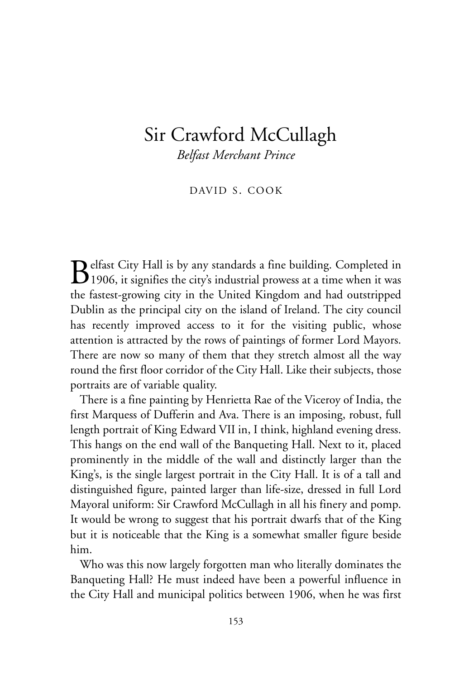# Sir Crawford McCullagh

*Belfast Merchant Prince*

DAVID S. COOK

 $\mathbf{B}$ elfast City Hall is by any standards a fine building. Completed in 1906, it signifies the city's industrial prowess at a time when it was the fastest-growing city in the United Kingdom and had outstripped Dublin as the principal city on the island of Ireland. The city council has recently improved access to it for the visiting public, whose attention is attracted by the rows of paintings of former Lord Mayors. There are now so many of them that they stretch almost all the way round the first floor corridor of the City Hall. Like their subjects, those portraits are of variable quality.

There is a fine painting by Henrietta Rae of the Viceroy of India, the first Marquess of Dufferin and Ava. There is an imposing, robust, full length portrait of King Edward VII in, I think, highland evening dress. This hangs on the end wall of the Banqueting Hall. Next to it, placed prominently in the middle of the wall and distinctly larger than the King's, is the single largest portrait in the City Hall. It is of a tall and distinguished figure, painted larger than life-size, dressed in full Lord Mayoral uniform: Sir Crawford McCullagh in all his finery and pomp. It would be wrong to suggest that his portrait dwarfs that of the King but it is noticeable that the King is a somewhat smaller figure beside him.

Who was this now largely forgotten man who literally dominates the Banqueting Hall? He must indeed have been a powerful influence in the City Hall and municipal politics between 1906, when he was first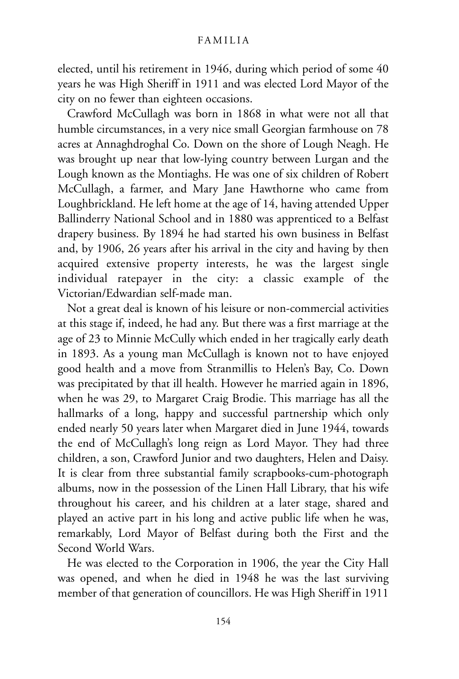elected, until his retirement in 1946, during which period of some 40 years he was High Sheriff in 1911 and was elected Lord Mayor of the city on no fewer than eighteen occasions.

Crawford McCullagh was born in 1868 in what were not all that humble circumstances, in a very nice small Georgian farmhouse on 78 acres at Annaghdroghal Co. Down on the shore of Lough Neagh. He was brought up near that low-lying country between Lurgan and the Lough known as the Montiaghs. He was one of six children of Robert McCullagh, a farmer, and Mary Jane Hawthorne who came from Loughbrickland. He left home at the age of 14, having attended Upper Ballinderry National School and in 1880 was apprenticed to a Belfast drapery business. By 1894 he had started his own business in Belfast and, by 1906, 26 years after his arrival in the city and having by then acquired extensive property interests, he was the largest single individual ratepayer in the city: a classic example of the Victorian/Edwardian self-made man.

Not a great deal is known of his leisure or non-commercial activities at this stage if, indeed, he had any. But there was a first marriage at the age of 23 to Minnie McCully which ended in her tragically early death in 1893. As a young man McCullagh is known not to have enjoyed good health and a move from Stranmillis to Helen's Bay, Co. Down was precipitated by that ill health. However he married again in 1896, when he was 29, to Margaret Craig Brodie. This marriage has all the hallmarks of a long, happy and successful partnership which only ended nearly 50 years later when Margaret died in June 1944, towards the end of McCullagh's long reign as Lord Mayor. They had three children, a son, Crawford Junior and two daughters, Helen and Daisy. It is clear from three substantial family scrapbooks-cum-photograph albums, now in the possession of the Linen Hall Library, that his wife throughout his career, and his children at a later stage, shared and played an active part in his long and active public life when he was, remarkably, Lord Mayor of Belfast during both the First and the Second World Wars.

He was elected to the Corporation in 1906, the year the City Hall was opened, and when he died in 1948 he was the last surviving member of that generation of councillors. He was High Sheriff in 1911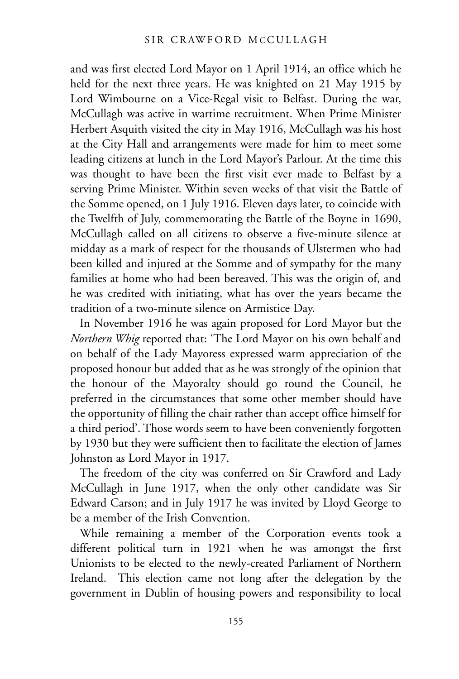and was first elected Lord Mayor on 1 April 1914, an office which he held for the next three years. He was knighted on 21 May 1915 by Lord Wimbourne on a Vice-Regal visit to Belfast. During the war, McCullagh was active in wartime recruitment. When Prime Minister Herbert Asquith visited the city in May 1916, McCullagh was his host at the City Hall and arrangements were made for him to meet some leading citizens at lunch in the Lord Mayor's Parlour. At the time this was thought to have been the first visit ever made to Belfast by a serving Prime Minister. Within seven weeks of that visit the Battle of the Somme opened, on 1 July 1916. Eleven days later, to coincide with the Twelfth of July, commemorating the Battle of the Boyne in 1690, McCullagh called on all citizens to observe a five-minute silence at midday as a mark of respect for the thousands of Ulstermen who had been killed and injured at the Somme and of sympathy for the many families at home who had been bereaved. This was the origin of, and he was credited with initiating, what has over the years became the tradition of a two-minute silence on Armistice Day.

In November 1916 he was again proposed for Lord Mayor but the *Northern Whig* reported that: 'The Lord Mayor on his own behalf and on behalf of the Lady Mayoress expressed warm appreciation of the proposed honour but added that as he was strongly of the opinion that the honour of the Mayoralty should go round the Council, he preferred in the circumstances that some other member should have the opportunity of filling the chair rather than accept office himself for a third period'. Those words seem to have been conveniently forgotten by 1930 but they were sufficient then to facilitate the election of James Johnston as Lord Mayor in 1917.

The freedom of the city was conferred on Sir Crawford and Lady McCullagh in June 1917, when the only other candidate was Sir Edward Carson; and in July 1917 he was invited by Lloyd George to be a member of the Irish Convention.

While remaining a member of the Corporation events took a different political turn in 1921 when he was amongst the first Unionists to be elected to the newly-created Parliament of Northern Ireland. This election came not long after the delegation by the government in Dublin of housing powers and responsibility to local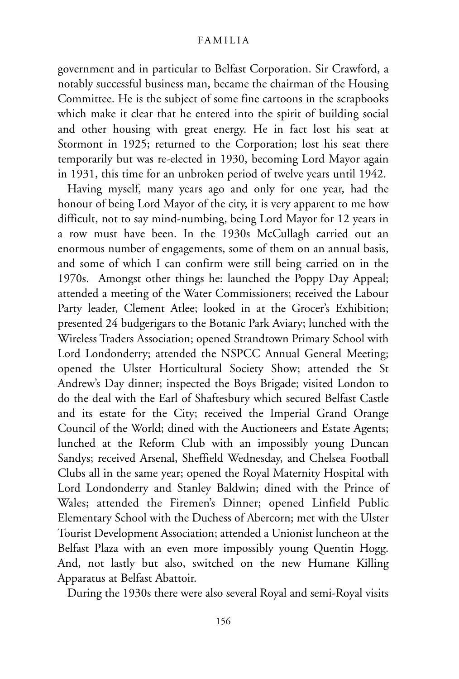government and in particular to Belfast Corporation. Sir Crawford, a notably successful business man, became the chairman of the Housing Committee. He is the subject of some fine cartoons in the scrapbooks which make it clear that he entered into the spirit of building social and other housing with great energy. He in fact lost his seat at Stormont in 1925; returned to the Corporation; lost his seat there temporarily but was re-elected in 1930, becoming Lord Mayor again in 1931, this time for an unbroken period of twelve years until 1942.

Having myself, many years ago and only for one year, had the honour of being Lord Mayor of the city, it is very apparent to me how difficult, not to say mind-numbing, being Lord Mayor for 12 years in a row must have been. In the 1930s McCullagh carried out an enormous number of engagements, some of them on an annual basis, and some of which I can confirm were still being carried on in the 1970s. Amongst other things he: launched the Poppy Day Appeal; attended a meeting of the Water Commissioners; received the Labour Party leader, Clement Atlee; looked in at the Grocer's Exhibition; presented 24 budgerigars to the Botanic Park Aviary; lunched with the Wireless Traders Association; opened Strandtown Primary School with Lord Londonderry; attended the NSPCC Annual General Meeting; opened the Ulster Horticultural Society Show; attended the St Andrew's Day dinner; inspected the Boys Brigade; visited London to do the deal with the Earl of Shaftesbury which secured Belfast Castle and its estate for the City; received the Imperial Grand Orange Council of the World; dined with the Auctioneers and Estate Agents; lunched at the Reform Club with an impossibly young Duncan Sandys; received Arsenal, Sheffield Wednesday, and Chelsea Football Clubs all in the same year; opened the Royal Maternity Hospital with Lord Londonderry and Stanley Baldwin; dined with the Prince of Wales; attended the Firemen's Dinner; opened Linfield Public Elementary School with the Duchess of Abercorn; met with the Ulster Tourist Development Association; attended a Unionist luncheon at the Belfast Plaza with an even more impossibly young Quentin Hogg. And, not lastly but also, switched on the new Humane Killing Apparatus at Belfast Abattoir.

During the 1930s there were also several Royal and semi-Royal visits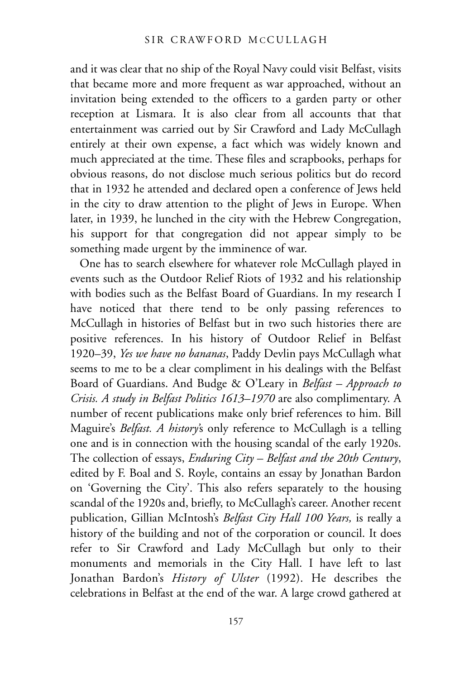and it was clear that no ship of the Royal Navy could visit Belfast, visits that became more and more frequent as war approached, without an invitation being extended to the officers to a garden party or other reception at Lismara. It is also clear from all accounts that that entertainment was carried out by Sir Crawford and Lady McCullagh entirely at their own expense, a fact which was widely known and much appreciated at the time. These files and scrapbooks, perhaps for obvious reasons, do not disclose much serious politics but do record that in 1932 he attended and declared open a conference of Jews held in the city to draw attention to the plight of Jews in Europe. When later, in 1939, he lunched in the city with the Hebrew Congregation, his support for that congregation did not appear simply to be something made urgent by the imminence of war.

One has to search elsewhere for whatever role McCullagh played in events such as the Outdoor Relief Riots of 1932 and his relationship with bodies such as the Belfast Board of Guardians. In my research I have noticed that there tend to be only passing references to McCullagh in histories of Belfast but in two such histories there are positive references. In his history of Outdoor Relief in Belfast 1920–39, *Yes we have no bananas*, Paddy Devlin pays McCullagh what seems to me to be a clear compliment in his dealings with the Belfast Board of Guardians. And Budge & O'Leary in *Belfast – Approach to Crisis. A study in Belfast Politics 1613–1970* are also complimentary. A number of recent publications make only brief references to him. Bill Maguire's *Belfast. A history'*s only reference to McCullagh is a telling one and is in connection with the housing scandal of the early 1920s. The collection of essays, *Enduring City – Belfast and the 20th Century*, edited by F. Boal and S. Royle, contains an essay by Jonathan Bardon on 'Governing the City'. This also refers separately to the housing scandal of the 1920s and, briefly, to McCullagh's career. Another recent publication, Gillian McIntosh's *Belfast City Hall 100 Years,* is really a history of the building and not of the corporation or council. It does refer to Sir Crawford and Lady McCullagh but only to their monuments and memorials in the City Hall. I have left to last Jonathan Bardon's *History of Ulster* (1992). He describes the celebrations in Belfast at the end of the war. A large crowd gathered at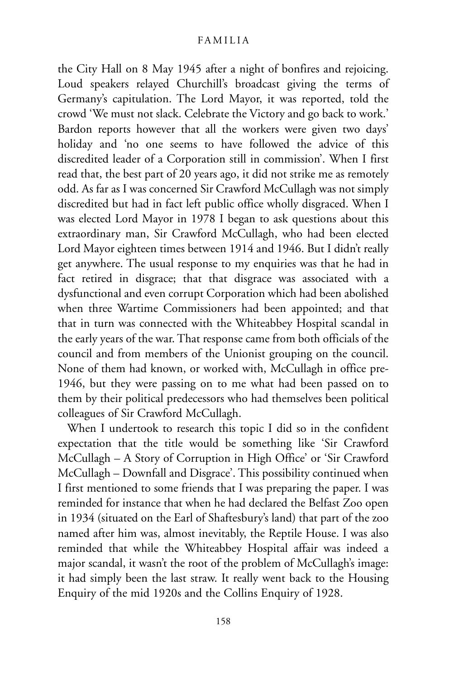the City Hall on 8 May 1945 after a night of bonfires and rejoicing. Loud speakers relayed Churchill's broadcast giving the terms of Germany's capitulation. The Lord Mayor, it was reported, told the crowd 'We must not slack. Celebrate the Victory and go back to work.' Bardon reports however that all the workers were given two days' holiday and 'no one seems to have followed the advice of this discredited leader of a Corporation still in commission'. When I first read that, the best part of 20 years ago, it did not strike me as remotely odd. As far as I was concerned Sir Crawford McCullagh was not simply discredited but had in fact left public office wholly disgraced. When I was elected Lord Mayor in 1978 I began to ask questions about this extraordinary man, Sir Crawford McCullagh, who had been elected Lord Mayor eighteen times between 1914 and 1946. But I didn't really get anywhere. The usual response to my enquiries was that he had in fact retired in disgrace; that that disgrace was associated with a dysfunctional and even corrupt Corporation which had been abolished when three Wartime Commissioners had been appointed; and that that in turn was connected with the Whiteabbey Hospital scandal in the early years of the war. That response came from both officials of the council and from members of the Unionist grouping on the council. None of them had known, or worked with, McCullagh in office pre-1946, but they were passing on to me what had been passed on to them by their political predecessors who had themselves been political colleagues of Sir Crawford McCullagh.

When I undertook to research this topic I did so in the confident expectation that the title would be something like 'Sir Crawford McCullagh – A Story of Corruption in High Office' or 'Sir Crawford McCullagh – Downfall and Disgrace'. This possibility continued when I first mentioned to some friends that I was preparing the paper. I was reminded for instance that when he had declared the Belfast Zoo open in 1934 (situated on the Earl of Shaftesbury's land) that part of the zoo named after him was, almost inevitably, the Reptile House. I was also reminded that while the Whiteabbey Hospital affair was indeed a major scandal, it wasn't the root of the problem of McCullagh's image: it had simply been the last straw. It really went back to the Housing Enquiry of the mid 1920s and the Collins Enquiry of 1928.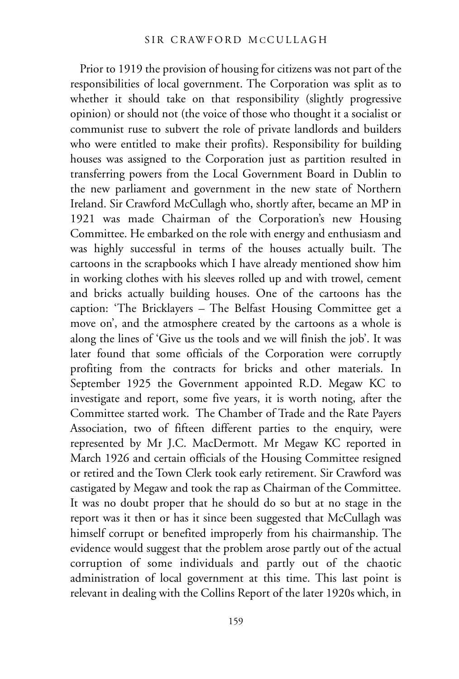Prior to 1919 the provision of housing for citizens was not part of the responsibilities of local government. The Corporation was split as to whether it should take on that responsibility (slightly progressive opinion) or should not (the voice of those who thought it a socialist or communist ruse to subvert the role of private landlords and builders who were entitled to make their profits). Responsibility for building houses was assigned to the Corporation just as partition resulted in transferring powers from the Local Government Board in Dublin to the new parliament and government in the new state of Northern Ireland. Sir Crawford McCullagh who, shortly after, became an MP in 1921 was made Chairman of the Corporation's new Housing Committee. He embarked on the role with energy and enthusiasm and was highly successful in terms of the houses actually built. The cartoons in the scrapbooks which I have already mentioned show him in working clothes with his sleeves rolled up and with trowel, cement and bricks actually building houses. One of the cartoons has the caption: 'The Bricklayers – The Belfast Housing Committee get a move on', and the atmosphere created by the cartoons as a whole is along the lines of 'Give us the tools and we will finish the job'. It was later found that some officials of the Corporation were corruptly profiting from the contracts for bricks and other materials. In September 1925 the Government appointed R.D. Megaw KC to investigate and report, some five years, it is worth noting, after the Committee started work. The Chamber of Trade and the Rate Payers Association, two of fifteen different parties to the enquiry, were represented by Mr J.C. MacDermott. Mr Megaw KC reported in March 1926 and certain officials of the Housing Committee resigned or retired and the Town Clerk took early retirement. Sir Crawford was castigated by Megaw and took the rap as Chairman of the Committee. It was no doubt proper that he should do so but at no stage in the report was it then or has it since been suggested that McCullagh was himself corrupt or benefited improperly from his chairmanship. The evidence would suggest that the problem arose partly out of the actual corruption of some individuals and partly out of the chaotic administration of local government at this time. This last point is relevant in dealing with the Collins Report of the later 1920s which, in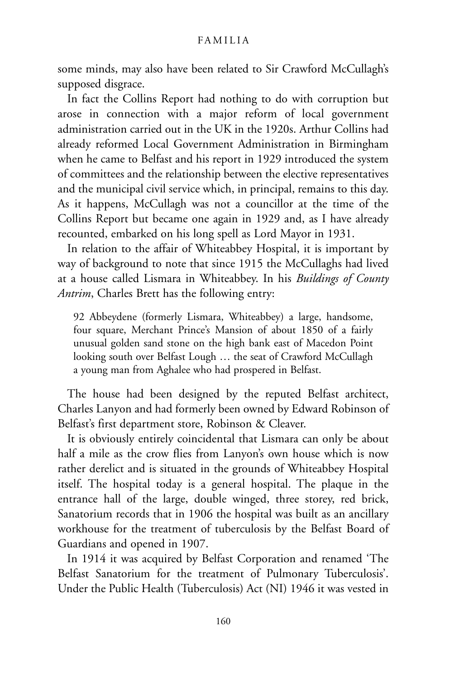some minds, may also have been related to Sir Crawford McCullagh's supposed disgrace.

In fact the Collins Report had nothing to do with corruption but arose in connection with a major reform of local government administration carried out in the UK in the 1920s. Arthur Collins had already reformed Local Government Administration in Birmingham when he came to Belfast and his report in 1929 introduced the system of committees and the relationship between the elective representatives and the municipal civil service which, in principal, remains to this day. As it happens, McCullagh was not a councillor at the time of the Collins Report but became one again in 1929 and, as I have already recounted, embarked on his long spell as Lord Mayor in 1931.

In relation to the affair of Whiteabbey Hospital, it is important by way of background to note that since 1915 the McCullaghs had lived at a house called Lismara in Whiteabbey. In his *Buildings of County Antrim*, Charles Brett has the following entry:

92 Abbeydene (formerly Lismara, Whiteabbey) a large, handsome, four square, Merchant Prince's Mansion of about 1850 of a fairly unusual golden sand stone on the high bank east of Macedon Point looking south over Belfast Lough … the seat of Crawford McCullagh a young man from Aghalee who had prospered in Belfast.

The house had been designed by the reputed Belfast architect, Charles Lanyon and had formerly been owned by Edward Robinson of Belfast's first department store, Robinson & Cleaver.

It is obviously entirely coincidental that Lismara can only be about half a mile as the crow flies from Lanyon's own house which is now rather derelict and is situated in the grounds of Whiteabbey Hospital itself. The hospital today is a general hospital. The plaque in the entrance hall of the large, double winged, three storey, red brick, Sanatorium records that in 1906 the hospital was built as an ancillary workhouse for the treatment of tuberculosis by the Belfast Board of Guardians and opened in 1907.

In 1914 it was acquired by Belfast Corporation and renamed 'The Belfast Sanatorium for the treatment of Pulmonary Tuberculosis'. Under the Public Health (Tuberculosis) Act (NI) 1946 it was vested in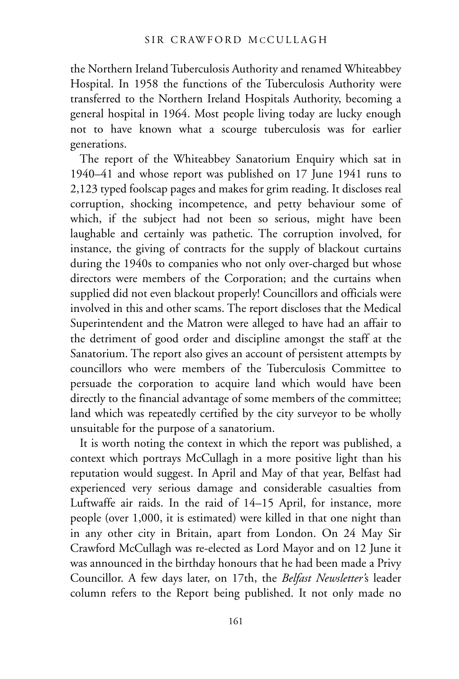the Northern Ireland Tuberculosis Authority and renamed Whiteabbey Hospital. In 1958 the functions of the Tuberculosis Authority were transferred to the Northern Ireland Hospitals Authority, becoming a general hospital in 1964. Most people living today are lucky enough not to have known what a scourge tuberculosis was for earlier generations.

The report of the Whiteabbey Sanatorium Enquiry which sat in 1940–41 and whose report was published on 17 June 1941 runs to 2,123 typed foolscap pages and makes for grim reading. It discloses real corruption, shocking incompetence, and petty behaviour some of which, if the subject had not been so serious, might have been laughable and certainly was pathetic. The corruption involved, for instance, the giving of contracts for the supply of blackout curtains during the 1940s to companies who not only over-charged but whose directors were members of the Corporation; and the curtains when supplied did not even blackout properly! Councillors and officials were involved in this and other scams. The report discloses that the Medical Superintendent and the Matron were alleged to have had an affair to the detriment of good order and discipline amongst the staff at the Sanatorium. The report also gives an account of persistent attempts by councillors who were members of the Tuberculosis Committee to persuade the corporation to acquire land which would have been directly to the financial advantage of some members of the committee; land which was repeatedly certified by the city surveyor to be wholly unsuitable for the purpose of a sanatorium.

It is worth noting the context in which the report was published, a context which portrays McCullagh in a more positive light than his reputation would suggest. In April and May of that year, Belfast had experienced very serious damage and considerable casualties from Luftwaffe air raids. In the raid of 14–15 April, for instance, more people (over 1,000, it is estimated) were killed in that one night than in any other city in Britain, apart from London. On 24 May Sir Crawford McCullagh was re-elected as Lord Mayor and on 12 June it was announced in the birthday honours that he had been made a Privy Councillor. A few days later, on 17th, the *Belfast Newsletter'*s leader column refers to the Report being published. It not only made no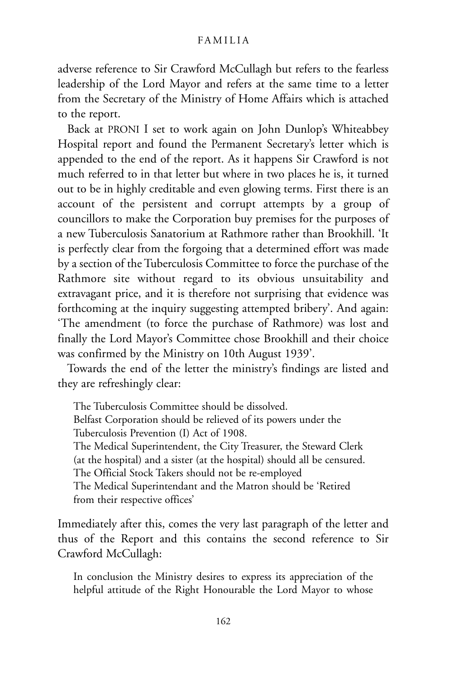adverse reference to Sir Crawford McCullagh but refers to the fearless leadership of the Lord Mayor and refers at the same time to a letter from the Secretary of the Ministry of Home Affairs which is attached to the report.

Back at PRONI I set to work again on John Dunlop's Whiteabbey Hospital report and found the Permanent Secretary's letter which is appended to the end of the report. As it happens Sir Crawford is not much referred to in that letter but where in two places he is, it turned out to be in highly creditable and even glowing terms. First there is an account of the persistent and corrupt attempts by a group of councillors to make the Corporation buy premises for the purposes of a new Tuberculosis Sanatorium at Rathmore rather than Brookhill. 'It is perfectly clear from the forgoing that a determined effort was made by a section of the Tuberculosis Committee to force the purchase of the Rathmore site without regard to its obvious unsuitability and extravagant price, and it is therefore not surprising that evidence was forthcoming at the inquiry suggesting attempted bribery'. And again: 'The amendment (to force the purchase of Rathmore) was lost and finally the Lord Mayor's Committee chose Brookhill and their choice was confirmed by the Ministry on 10th August 1939'.

Towards the end of the letter the ministry's findings are listed and they are refreshingly clear:

The Tuberculosis Committee should be dissolved. Belfast Corporation should be relieved of its powers under the Tuberculosis Prevention (I) Act of 1908. The Medical Superintendent, the City Treasurer, the Steward Clerk (at the hospital) and a sister (at the hospital) should all be censured. The Official Stock Takers should not be re-employed The Medical Superintendant and the Matron should be 'Retired from their respective offices'

Immediately after this, comes the very last paragraph of the letter and thus of the Report and this contains the second reference to Sir Crawford McCullagh:

In conclusion the Ministry desires to express its appreciation of the helpful attitude of the Right Honourable the Lord Mayor to whose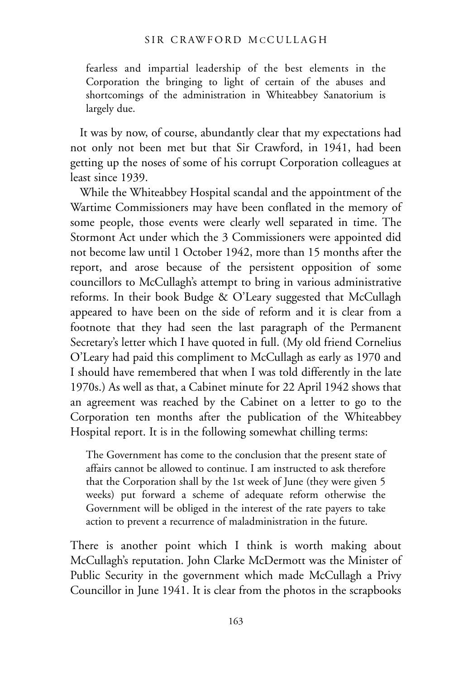fearless and impartial leadership of the best elements in the Corporation the bringing to light of certain of the abuses and shortcomings of the administration in Whiteabbey Sanatorium is largely due.

It was by now, of course, abundantly clear that my expectations had not only not been met but that Sir Crawford, in 1941, had been getting up the noses of some of his corrupt Corporation colleagues at least since 1939.

While the Whiteabbey Hospital scandal and the appointment of the Wartime Commissioners may have been conflated in the memory of some people, those events were clearly well separated in time. The Stormont Act under which the 3 Commissioners were appointed did not become law until 1 October 1942, more than 15 months after the report, and arose because of the persistent opposition of some councillors to McCullagh's attempt to bring in various administrative reforms. In their book Budge & O'Leary suggested that McCullagh appeared to have been on the side of reform and it is clear from a footnote that they had seen the last paragraph of the Permanent Secretary's letter which I have quoted in full. (My old friend Cornelius O'Leary had paid this compliment to McCullagh as early as 1970 and I should have remembered that when I was told differently in the late 1970s.) As well as that, a Cabinet minute for 22 April 1942 shows that an agreement was reached by the Cabinet on a letter to go to the Corporation ten months after the publication of the Whiteabbey Hospital report. It is in the following somewhat chilling terms:

The Government has come to the conclusion that the present state of affairs cannot be allowed to continue. I am instructed to ask therefore that the Corporation shall by the 1st week of June (they were given 5 weeks) put forward a scheme of adequate reform otherwise the Government will be obliged in the interest of the rate payers to take action to prevent a recurrence of maladministration in the future.

There is another point which I think is worth making about McCullagh's reputation. John Clarke McDermott was the Minister of Public Security in the government which made McCullagh a Privy Councillor in June 1941. It is clear from the photos in the scrapbooks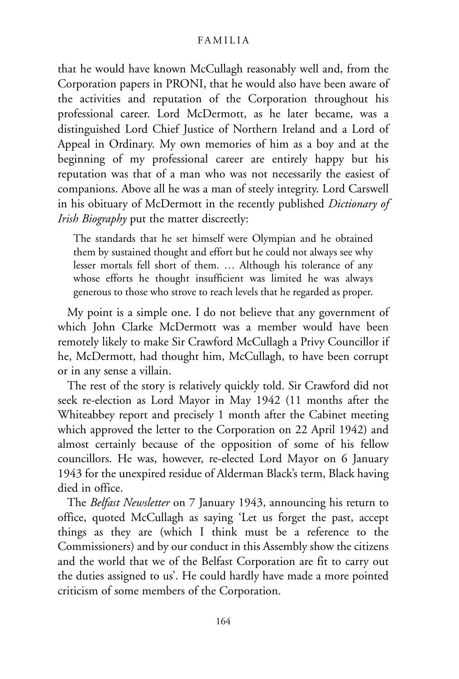that he would have known McCullagh reasonably well and, from the Corporation papers in PRONI, that he would also have been aware of the activities and reputation of the Corporation throughout his professional career. Lord McDermott, as he later became, was a distinguished Lord Chief Justice of Northern Ireland and a Lord of Appeal in Ordinary. My own memories of him as a boy and at the beginning of my professional career are entirely happy but his reputation was that of a man who was not necessarily the easiest of companions. Above all he was a man of steely integrity. Lord Carswell in his obituary of McDermott in the recently published *Dictionary of Irish Biography* put the matter discreetly:

The standards that he set himself were Olympian and he obtained them by sustained thought and effort but he could not always see why lesser mortals fell short of them. … Although his tolerance of any whose efforts he thought insufficient was limited he was always generous to those who strove to reach levels that he regarded as proper.

My point is a simple one. I do not believe that any government of which John Clarke McDermott was a member would have been remotely likely to make Sir Crawford McCullagh a Privy Councillor if he, McDermott, had thought him, McCullagh, to have been corrupt or in any sense a villain.

The rest of the story is relatively quickly told. Sir Crawford did not seek re-election as Lord Mayor in May 1942 (11 months after the Whiteabbey report and precisely 1 month after the Cabinet meeting which approved the letter to the Corporation on 22 April 1942) and almost certainly because of the opposition of some of his fellow councillors. He was, however, re-elected Lord Mayor on 6 January 1943 for the unexpired residue of Alderman Black's term, Black having died in office.

The *Belfast Newsletter* on 7 January 1943, announcing his return to office, quoted McCullagh as saying 'Let us forget the past, accept things as they are (which I think must be a reference to the Commissioners) and by our conduct in this Assembly show the citizens and the world that we of the Belfast Corporation are fit to carry out the duties assigned to us'. He could hardly have made a more pointed criticism of some members of the Corporation.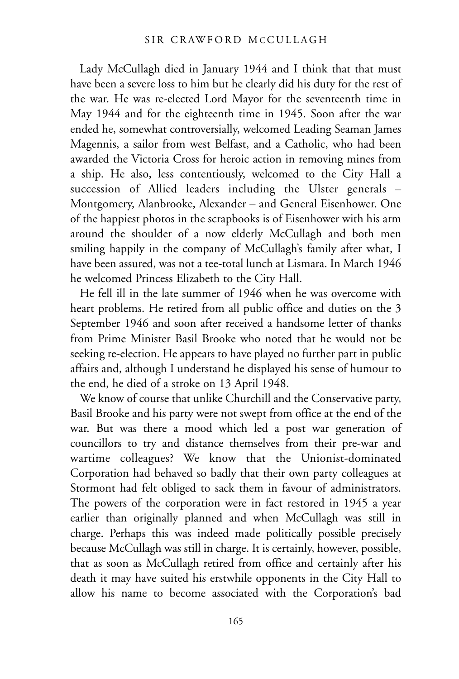Lady McCullagh died in January 1944 and I think that that must have been a severe loss to him but he clearly did his duty for the rest of the war. He was re-elected Lord Mayor for the seventeenth time in May 1944 and for the eighteenth time in 1945. Soon after the war ended he, somewhat controversially, welcomed Leading Seaman James Magennis, a sailor from west Belfast, and a Catholic, who had been awarded the Victoria Cross for heroic action in removing mines from a ship. He also, less contentiously, welcomed to the City Hall a succession of Allied leaders including the Ulster generals – Montgomery, Alanbrooke, Alexander – and General Eisenhower. One of the happiest photos in the scrapbooks is of Eisenhower with his arm around the shoulder of a now elderly McCullagh and both men smiling happily in the company of McCullagh's family after what, I have been assured, was not a tee-total lunch at Lismara. In March 1946 he welcomed Princess Elizabeth to the City Hall.

He fell ill in the late summer of 1946 when he was overcome with heart problems. He retired from all public office and duties on the 3 September 1946 and soon after received a handsome letter of thanks from Prime Minister Basil Brooke who noted that he would not be seeking re-election. He appears to have played no further part in public affairs and, although I understand he displayed his sense of humour to the end, he died of a stroke on 13 April 1948.

We know of course that unlike Churchill and the Conservative party, Basil Brooke and his party were not swept from office at the end of the war. But was there a mood which led a post war generation of councillors to try and distance themselves from their pre-war and wartime colleagues? We know that the Unionist-dominated Corporation had behaved so badly that their own party colleagues at Stormont had felt obliged to sack them in favour of administrators. The powers of the corporation were in fact restored in 1945 a year earlier than originally planned and when McCullagh was still in charge. Perhaps this was indeed made politically possible precisely because McCullagh was still in charge. It is certainly, however, possible, that as soon as McCullagh retired from office and certainly after his death it may have suited his erstwhile opponents in the City Hall to allow his name to become associated with the Corporation's bad